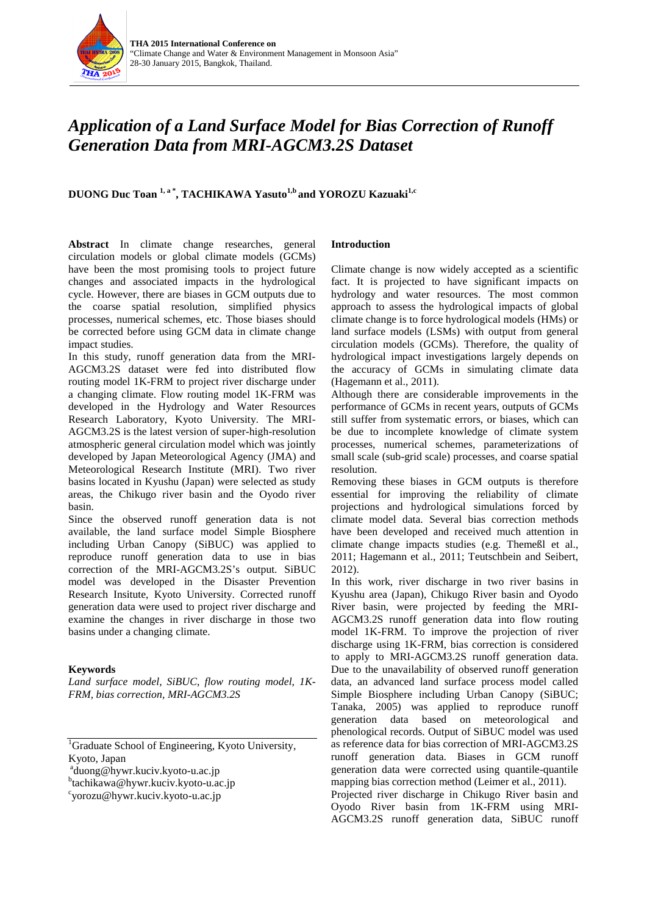

# *Application of a Land Surface Model for Bias Correction of Runoff Generation Data from MRI-AGCM3.2S Dataset*

**DUONG Duc Toan<sup>1, a\*</sup>, TACHIKAWA Yasuto<sup>1,b</sup> and YOROZU Kazuaki<sup>1,c</sup>** 

**Abstract** In climate change researches, general circulation models or global climate models (GCMs) have been the most promising tools to project future changes and associated impacts in the hydrological cycle. However, there are biases in GCM outputs due to the coarse spatial resolution, simplified physics processes, numerical schemes, etc. Those biases should be corrected before using GCM data in climate change impact studies.

In this study, runoff generation data from the MRI-AGCM3.2S dataset were fed into distributed flow routing model 1K-FRM to project river discharge under a changing climate. Flow routing model 1K-FRM was developed in the Hydrology and Water Resources Research Laboratory, Kyoto University. The MRI-AGCM3.2S is the latest version of super-high-resolution atmospheric general circulation model which was jointly developed by Japan Meteorological Agency (JMA) and Meteorological Research Institute (MRI). Two river basins located in Kyushu (Japan) were selected as study areas, the Chikugo river basin and the Oyodo river basin.

Since the observed runoff generation data is not available, the land surface model Simple Biosphere including Urban Canopy (SiBUC) was applied to reproduce runoff generation data to use in bias correction of the MRI-AGCM3.2S's output. SiBUC model was developed in the Disaster Prevention Research Insitute, Kyoto University. Corrected runoff generation data were used to project river discharge and examine the changes in river discharge in those two basins under a changing climate.

# **Keywords**

*Land surface model, SiBUC, flow routing model, 1K-FRM, bias correction, MRI-AGCM3.2S*

<sup>b</sup>tachikawa@hywr.kuciv.kyoto-u.ac.jp

# **Introduction**

Climate change is now widely accepted as a scientific fact. It is projected to have significant impacts on hydrology and water resources. The most common approach to assess the hydrological impacts of global climate change is to force hydrological models (HMs) or land surface models (LSMs) with output from general circulation models (GCMs). Therefore, the quality of hydrological impact investigations largely depends on the accuracy of GCMs in simulating climate data (Hagemann et al., 2011).

Although there are considerable improvements in the performance of GCMs in recent years, outputs of GCMs still suffer from systematic errors, or biases, which can be due to incomplete knowledge of climate system processes, numerical schemes, parameterizations of small scale (sub-grid scale) processes, and coarse spatial resolution.

Removing these biases in GCM outputs is therefore essential for improving the reliability of climate projections and hydrological simulations forced by climate model data. Several bias correction methods have been developed and received much attention in climate change impacts studies (e.g. Themeßl et al., 2011; Hagemann et al., 2011; Teutschbein and Seibert, 2012).

In this work, river discharge in two river basins in Kyushu area (Japan), Chikugo River basin and Oyodo River basin, were projected by feeding the MRI-AGCM3.2S runoff generation data into flow routing model 1K-FRM. To improve the projection of river discharge using 1K-FRM, bias correction is considered to apply to MRI-AGCM3.2S runoff generation data. Due to the unavailability of observed runoff generation data, an advanced land surface process model called Simple Biosphere including Urban Canopy (SiBUC; Tanaka, 2005) was applied to reproduce runoff generation data based on meteorological and phenological records. Output of SiBUC model was used as reference data for bias correction of MRI-AGCM3.2S runoff generation data. Biases in GCM runoff generation data were corrected using quantile-quantile mapping bias correction method (Leimer et al., 2011). Projected river discharge in Chikugo River basin and Oyodo River basin from 1K-FRM using MRI-AGCM3.2S runoff generation data, SiBUC runoff

<sup>&</sup>lt;sup>1</sup>Graduate School of Engineering, Kyoto University, Kyoto, Japan

<sup>&</sup>lt;sup>a</sup>duong@hywr.kuciv.kyoto-u.ac.jp<br>btochikowa@hywr.kuciv.kyoto.u.a

yorozu@hywr.kuciv.kyoto-u.ac.jp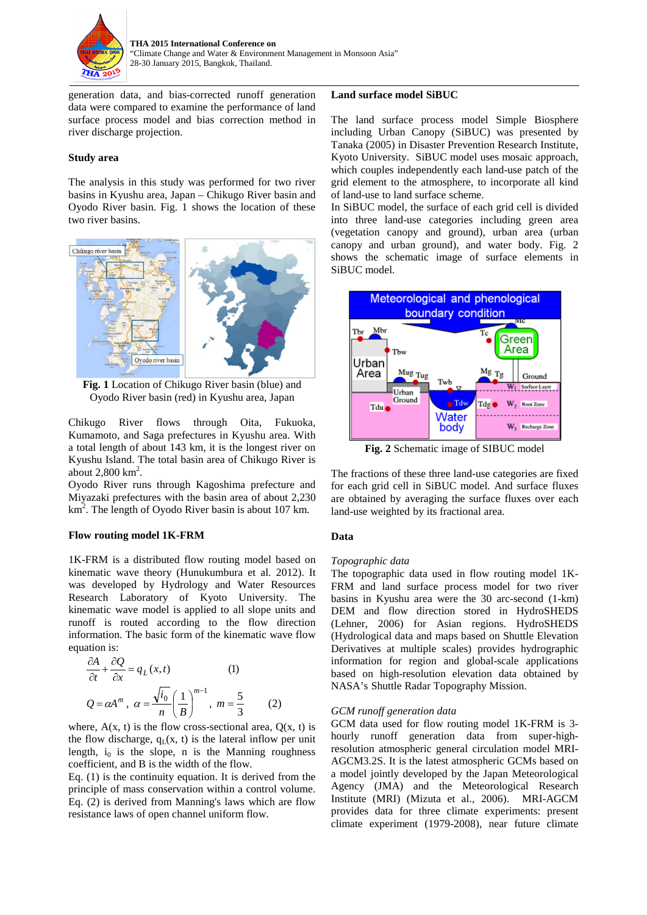

generation data, and bias-corrected runoff generation data were compared to examine the performance of land surface process model and bias correction method in river discharge projection.

#### **Study area**

The analysis in this study was performed for two river basins in Kyushu area, Japan – Chikugo River basin and Oyodo River basin. Fig. 1 shows the location of these two river basins.



**Fig. 1** Location of Chikugo River basin (blue) and Oyodo River basin (red) in Kyushu area, Japan

Chikugo River flows through Oita, Fukuoka, Kumamoto, and Saga prefectures in Kyushu area. With a total length of about 143 km, it is the longest river on Kyushu Island. The total basin area of Chikugo River is about  $2,800 \mathrm{km}^2$ .

Oyodo River runs through Kagoshima prefecture and Miyazaki prefectures with the basin area of about 2,230  $km<sup>2</sup>$ . The length of Oyodo River basin is about 107 km.

#### **Flow routing model 1K-FRM**

1K-FRM is a distributed flow routing model based on kinematic wave theory (Hunukumbura et al. 2012). It was developed by Hydrology and Water Resources Research Laboratory of Kyoto University. The kinematic wave model is applied to all slope units and runoff is routed according to the flow direction information. The basic form of the kinematic wave flow equation is:

$$
\frac{\partial A}{\partial t} + \frac{\partial Q}{\partial x} = q_L(x, t)
$$
 (1)  
 
$$
Q = \alpha A^m, \ \alpha = \frac{\sqrt{i_0}}{n} \left(\frac{1}{B}\right)^{m-1}, \ m = \frac{5}{3}
$$
 (2)

where,  $A(x, t)$  is the flow cross-sectional area,  $Q(x, t)$  is the flow discharge,  $q_L(x, t)$  is the lateral inflow per unit length,  $i_0$  is the slope, n is the Manning roughness coefficient, and B is the width of the flow.

Eq. (1) is the continuity equation. It is derived from the principle of mass conservation within a control volume. Eq. (2) is derived from Manning's laws which are flow resistance laws of open channel uniform flow.

#### **Land surface model SiBUC**

The land surface process model Simple Biosphere including Urban Canopy (SiBUC) was presented by Tanaka (2005) in Disaster Prevention Research Institute, Kyoto University. SiBUC model uses mosaic approach, which couples independently each land-use patch of the grid element to the atmosphere, to incorporate all kind of land-use to land surface scheme.

In SiBUC model, the surface of each grid cell is divided into three land-use categories including green area (vegetation canopy and ground), urban area (urban canopy and urban ground), and water body. Fig. 2 shows the schematic image of surface elements in SiBUC model.



**Fig. 2** Schematic image of SIBUC model

The fractions of these three land-use categories are fixed for each grid cell in SiBUC model. And surface fluxes are obtained by averaging the surface fluxes over each land-use weighted by its fractional area.

# **Data**

# *Topographic data*

The topographic data used in flow routing model 1K-FRM and land surface process model for two river basins in Kyushu area were the 30 arc-second (1-km) DEM and flow direction stored in HydroSHEDS (Lehner, 2006) for Asian regions. HydroSHEDS (Hydrological data and maps based on Shuttle Elevation Derivatives at multiple scales) provides hydrographic information for region and global-scale applications based on high-resolution elevation data obtained by NASA's Shuttle Radar Topography Mission.

# *GCM runoff generation data*

GCM data used for flow routing model 1K-FRM is 3 hourly runoff generation data from super-highresolution atmospheric general circulation model MRI-AGCM3.2S. It is the latest atmospheric GCMs based on a model jointly developed by the Japan Meteorological Agency (JMA) and the Meteorological Research Institute (MRI) (Mizuta et al., 2006). MRI-AGCM provides data for three climate experiments: present climate experiment (1979-2008), near future climate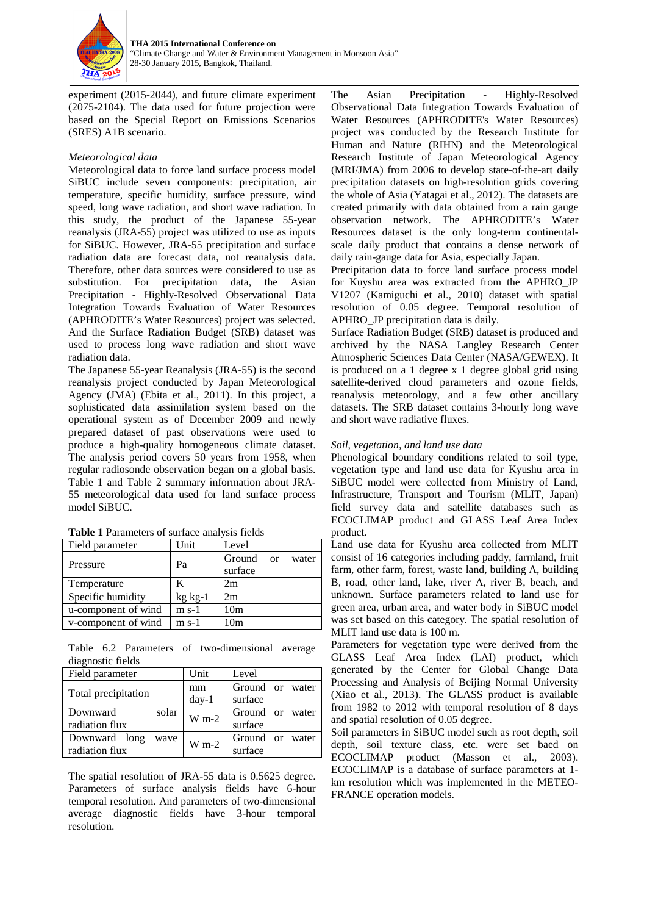

experiment (2015-2044), and future climate experiment (2075-2104). The data used for future projection were based on the Special Report on Emissions Scenarios (SRES) A1B scenario.

# *Meteorological data*

Meteorological data to force land surface process model SiBUC include seven components: precipitation, air temperature, specific humidity, surface pressure, wind speed, long wave radiation, and short wave radiation. In this study, the product of the Japanese 55-year reanalysis (JRA-55) project was utilized to use as inputs for SiBUC. However, JRA-55 precipitation and surface radiation data are forecast data, not reanalysis data. Therefore, other data sources were considered to use as substitution. For precipitation data, the Asian Precipitation - Highly-Resolved Observational Data Integration Towards Evaluation of Water Resources (APHRODITE's Water Resources) project was selected. And the Surface Radiation Budget (SRB) dataset was used to process long wave radiation and short wave radiation data.

The Japanese 55-year Reanalysis (JRA-55) is the second reanalysis project conducted by Japan Meteorological Agency (JMA) (Ebita et al., 2011). In this project, a sophisticated data assimilation system based on the operational system as of December 2009 and newly prepared dataset of past observations were used to produce a high-quality homogeneous climate dataset. The analysis period covers 50 years from 1958, when regular radiosonde observation began on a global basis. Table 1 and Table 2 summary information about JRA-55 meteorological data used for land surface process model SiBUC.

| Field parameter     | Unit        | Level           |       |
|---------------------|-------------|-----------------|-------|
| Pressure            | Pa          | Ground or       | water |
|                     |             | surface         |       |
| Temperature         | ĸ           | 2m              |       |
| Specific humidity   | $kg$ $kg-1$ | 2m              |       |
| u-component of wind | $m s-1$     | 10 <sub>m</sub> |       |
| v-component of wind | $m$ s-1     | 10 <sub>m</sub> |       |

**Table 1** Parameters of surface analysis fields

Table 6.2 Parameters of two-dimensional average diagnostic fields

| Field parameter       | Unit      | Level           |
|-----------------------|-----------|-----------------|
| Total precipitation   | mm        | Ground or water |
|                       | $day-1$   | surface         |
| solar<br>Downward     | $W m-2$   | Ground or water |
| radiation flux        |           | surface         |
| Downward long<br>wave | $W_{m-2}$ | Ground or water |
| radiation flux        |           | surface         |

The spatial resolution of JRA-55 data is 0.5625 degree. Parameters of surface analysis fields have 6-hour temporal resolution. And parameters of two-dimensional average diagnostic fields have 3-hour temporal resolution.

The Asian Precipitation - Highly-Resolved Observational Data Integration Towards Evaluation of Water Resources (APHRODITE's Water Resources) project was conducted by the Research Institute for Human and Nature (RIHN) and the Meteorological Research Institute of Japan Meteorological Agency (MRI/JMA) from 2006 to develop state-of-the-art daily precipitation datasets on high-resolution grids covering the whole of Asia (Yatagai et al., 2012). The datasets are created primarily with data obtained from a rain gauge observation network. The APHRODITE's Water Resources dataset is the only long-term continentalscale daily product that contains a dense network of daily rain-gauge data for Asia, especially Japan.

Precipitation data to force land surface process model for Kuyshu area was extracted from the APHRO\_JP V1207 (Kamiguchi et al., 2010) dataset with spatial resolution of 0.05 degree. Temporal resolution of APHRO\_JP precipitation data is daily.

Surface Radiation Budget (SRB) dataset is produced and archived by the NASA Langley Research Center Atmospheric Sciences Data Center (NASA/GEWEX). It is produced on a 1 degree x 1 degree global grid using satellite-derived cloud parameters and ozone fields, reanalysis meteorology, and a few other ancillary datasets. The SRB dataset contains 3-hourly long wave and short wave radiative fluxes.

# *Soil, vegetation, and land use data*

Phenological boundary conditions related to soil type, vegetation type and land use data for Kyushu area in SiBUC model were collected from Ministry of Land, Infrastructure, Transport and Tourism (MLIT, Japan) field survey data and satellite databases such as ECOCLIMAP product and GLASS Leaf Area Index product.

Land use data for Kyushu area collected from MLIT consist of 16 categories including paddy, farmland, fruit farm, other farm, forest, waste land, building A, building B, road, other land, lake, river A, river B, beach, and unknown. Surface parameters related to land use for green area, urban area, and water body in SiBUC model was set based on this category. The spatial resolution of MLIT land use data is 100 m.

Parameters for vegetation type were derived from the GLASS Leaf Area Index (LAI) product, which generated by the Center for Global Change Data Processing and Analysis of Beijing Normal University (Xiao et al., 2013). The GLASS product is available from 1982 to 2012 with temporal resolution of 8 days and spatial resolution of 0.05 degree.

Soil parameters in SiBUC model such as root depth, soil depth, soil texture class, etc. were set baed on ECOCLIMAP product (Masson et al., 2003). ECOCLIMAP is a database of surface parameters at 1 km resolution which was implemented in the METEO-FRANCE operation models.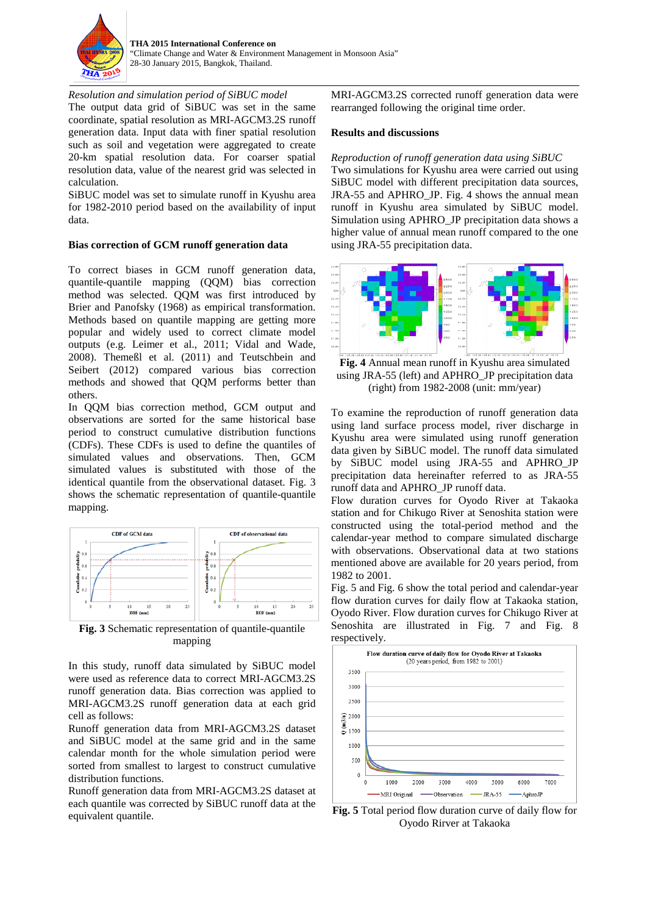

*Resolution and simulation period of SiBUC model* The output data grid of SiBUC was set in the same coordinate, spatial resolution as MRI-AGCM3.2S runoff generation data. Input data with finer spatial resolution such as soil and vegetation were aggregated to create 20-km spatial resolution data. For coarser spatial resolution data, value of the nearest grid was selected in calculation.

SiBUC model was set to simulate runoff in Kyushu area for 1982-2010 period based on the availability of input data.

#### **Bias correction of GCM runoff generation data**

To correct biases in GCM runoff generation data, quantile-quantile mapping (QQM) bias correction method was selected. QQM was first introduced by Brier and Panofsky (1968) as empirical transformation. Methods based on quantile mapping are getting more popular and widely used to correct climate model outputs (e.g. Leimer et al., 2011; Vidal and Wade, 2008). Themeßl et al. (2011) and Teutschbein and Seibert (2012) compared various bias correction methods and showed that QQM performs better than others.

In QQM bias correction method, GCM output and observations are sorted for the same historical base period to construct cumulative distribution functions (CDFs). These CDFs is used to define the quantiles of simulated values and observations. Then, GCM simulated values is substituted with those of the identical quantile from the observational dataset. Fig. 3 shows the schematic representation of quantile-quantile mapping.



**Fig. 3** Schematic representation of quantile-quantile mapping

In this study, runoff data simulated by SiBUC model were used as reference data to correct MRI-AGCM3.2S runoff generation data. Bias correction was applied to MRI-AGCM3.2S runoff generation data at each grid cell as follows:

Runoff generation data from MRI-AGCM3.2S dataset and SiBUC model at the same grid and in the same calendar month for the whole simulation period were sorted from smallest to largest to construct cumulative distribution functions.

Runoff generation data from MRI-AGCM3.2S dataset at each quantile was corrected by SiBUC runoff data at the equivalent quantile.

MRI-AGCM3.2S corrected runoff generation data were rearranged following the original time order.

#### **Results and discussions**

*Reproduction of runoff generation data using SiBUC*

Two simulations for Kyushu area were carried out using SiBUC model with different precipitation data sources, JRA-55 and APHRO JP. Fig. 4 shows the annual mean runoff in Kyushu area simulated by SiBUC model. Simulation using APHRO\_JP precipitation data shows a higher value of annual mean runoff compared to the one using JRA-55 precipitation data.



 **Fig. 4** Annual mean runoff in Kyushu area simulated using JRA-55 (left) and APHRO JP precipitation data (right) from 1982-2008 (unit: mm/year)

To examine the reproduction of runoff generation data using land surface process model, river discharge in Kyushu area were simulated using runoff generation data given by SiBUC model. The runoff data simulated by SiBUC model using JRA-55 and APHRO\_JP precipitation data hereinafter referred to as JRA-55 runoff data and APHRO\_JP runoff data.

Flow duration curves for Oyodo River at Takaoka station and for Chikugo River at Senoshita station were constructed using the total-period method and the calendar-year method to compare simulated discharge with observations. Observational data at two stations mentioned above are available for 20 years period, from 1982 to 2001.

Fig. 5 and Fig. 6 show the total period and calendar-year flow duration curves for daily flow at Takaoka station, Oyodo River. Flow duration curves for Chikugo River at Senoshita are illustrated in Fig. 7 and Fig. 8 respectively.



**Fig. 5** Total period flow duration curve of daily flow for Oyodo Rirver at Takaoka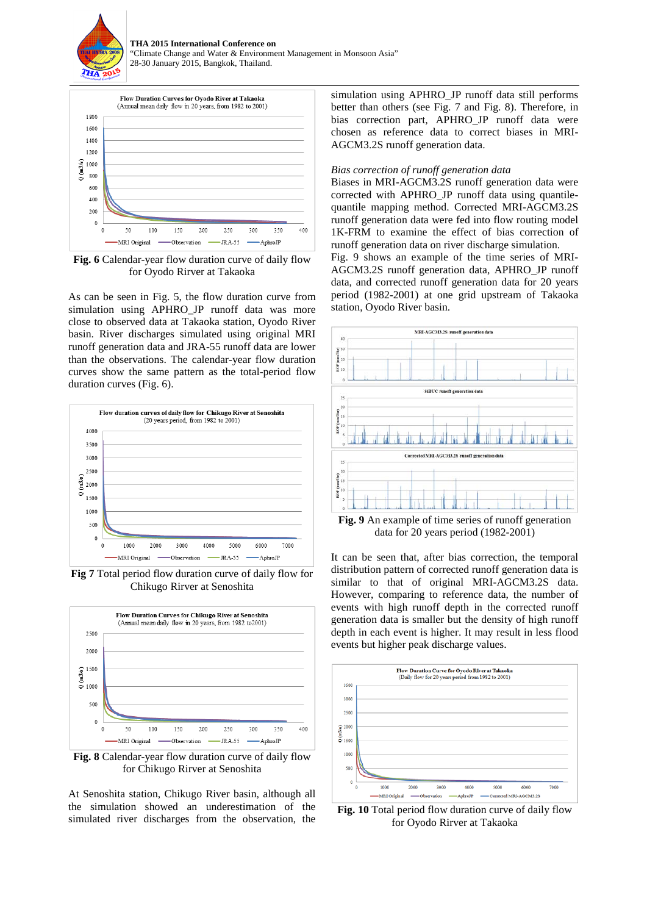



**Fig. 6** Calendar-year flow duration curve of daily flow for Oyodo Rirver at Takaoka

As can be seen in Fig. 5, the flow duration curve from simulation using APHRO\_JP runoff data was more close to observed data at Takaoka station, Oyodo River basin. River discharges simulated using original MRI runoff generation data and JRA-55 runoff data are lower than the observations. The calendar-year flow duration curves show the same pattern as the total-period flow duration curves (Fig. 6).



**Fig 7** Total period flow duration curve of daily flow for Chikugo Rirver at Senoshita



**Fig. 8** Calendar-year flow duration curve of daily flow for Chikugo Rirver at Senoshita

At Senoshita station, Chikugo River basin, although all the simulation showed an underestimation of the simulated river discharges from the observation, the

simulation using APHRO\_JP runoff data still performs better than others (see Fig. 7 and Fig. 8). Therefore, in bias correction part, APHRO\_JP runoff data were chosen as reference data to correct biases in MRI-AGCM3.2S runoff generation data.

#### *Bias correction of runoff generation data*

Biases in MRI-AGCM3.2S runoff generation data were corrected with APHRO\_JP runoff data using quantilequantile mapping method. Corrected MRI-AGCM3.2S runoff generation data were fed into flow routing model 1K-FRM to examine the effect of bias correction of runoff generation data on river discharge simulation.

Fig. 9 shows an example of the time series of MRI-AGCM3.2S runoff generation data, APHRO\_JP runoff data, and corrected runoff generation data for 20 years period (1982-2001) at one grid upstream of Takaoka station, Oyodo River basin.



**Fig. 9** An example of time series of runoff generation data for 20 years period (1982-2001)

It can be seen that, after bias correction, the temporal distribution pattern of corrected runoff generation data is similar to that of original MRI-AGCM3.2S data. However, comparing to reference data, the number of events with high runoff depth in the corrected runoff generation data is smaller but the density of high runoff depth in each event is higher. It may result in less flood events but higher peak discharge values.



**Fig. 10** Total period flow duration curve of daily flow for Oyodo Rirver at Takaoka